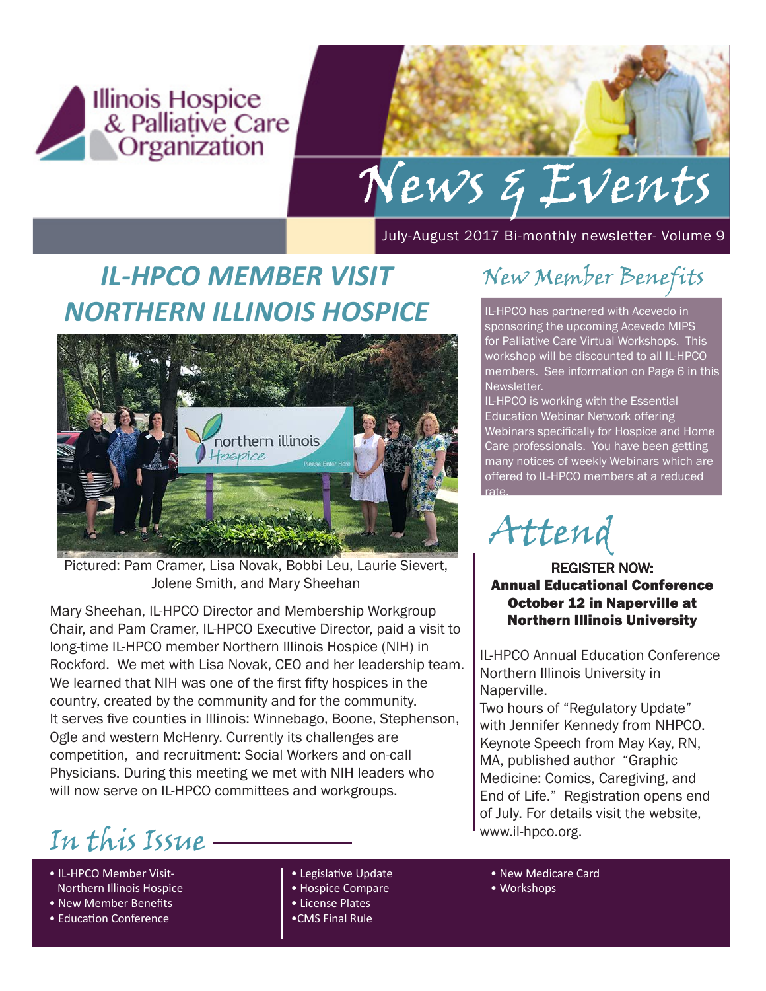

# News & Events

July-August 2017 Bi-monthly newsletter- Volume 9

# *IL-HPCO MEMBER VISIT NORTHERN ILLINOIS HOSPICE*



Pictured: Pam Cramer, Lisa Novak, Bobbi Leu, Laurie Sievert, Jolene Smith, and Mary Sheehan

Mary Sheehan, IL-HPCO Director and Membership Workgroup Chair, and Pam Cramer, IL-HPCO Executive Director, paid a visit to long-time IL-HPCO member Northern Illinois Hospice (NIH) in Rockford. We met with Lisa Novak, CEO and her leadership team. We learned that NIH was one of the first fifty hospices in the country, created by the community and for the community. It serves five counties in Illinois: Winnebago, Boone, Stephenson, Ogle and western McHenry. Currently its challenges are competition, and recruitment: Social Workers and on-call Physicians. During this meeting we met with NIH leaders who will now serve on IL-HPCO committees and workgroups.

www.il-hpco.org. In this Issue

- IL-HPCO Member Visit- Northern Illinois Hospice
- New Member Benefits
- Education Conference
- Legislative Update
- Hospice Compare
- License Plates
- •CMS Final Rule

New Member Benefits

IL-HPCO has partnered with Acevedo in sponsoring the upcoming Acevedo MIPS for Palliative Care Virtual Workshops. This workshop will be discounted to all IL-HPCO members. See information on Page 6 in this Newsletter.

IL-HPCO is working with the Essential Education Webinar Network offering Webinars specifically for Hospice and Home Care professionals. You have been getting many notices of weekly Webinars which are offered to IL-HPCO members at a reduced rate.

Attend

REGISTER NOW: Annual Educational Conference October 12 in Naperville at Northern Illinois University

IL-HPCO Annual Education Conference Northern Illinois University in Naperville.

Two hours of "Regulatory Update" with Jennifer Kennedy from NHPCO. Keynote Speech from May Kay, RN, MA, published author "Graphic Medicine: Comics, Caregiving, and End of Life." Registration opens end of July. For details visit the website,

- New Medicare Card
- Workshops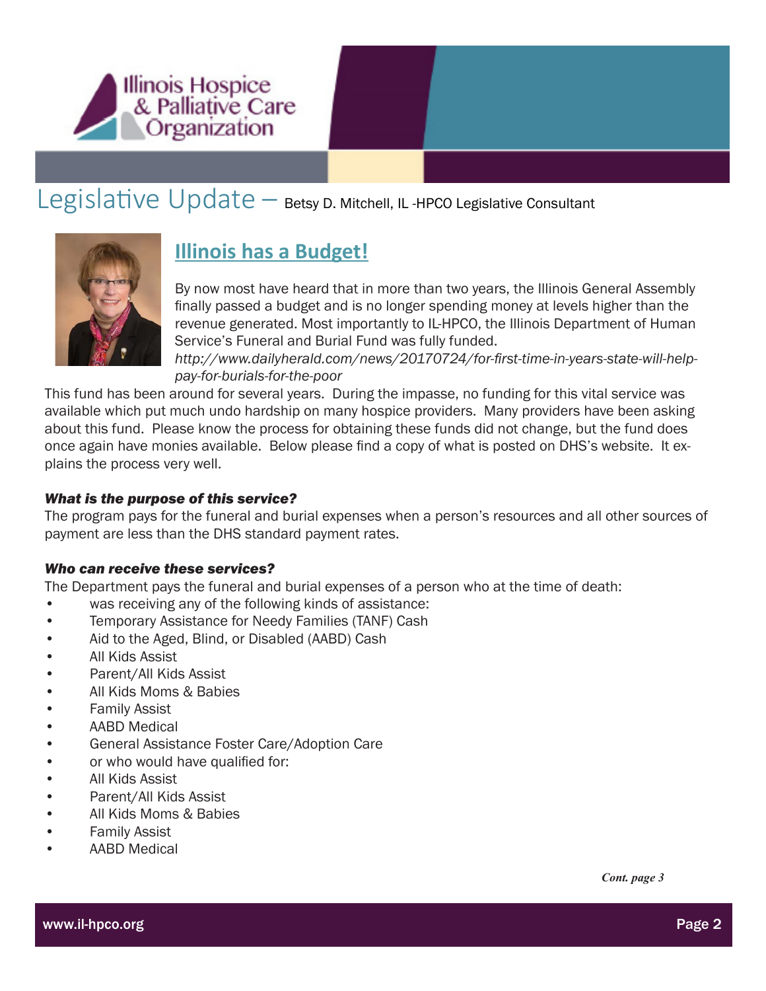

### Legislative Update – Betsy D. Mitchell, IL -HPCO Legislative Consultant



### **Illinois has a Budget!**

By now most have heard that in more than two years, the Illinois General Assembly finally passed a budget and is no longer spending money at levels higher than the revenue generated. Most importantly to IL-HPCO, the Illinois Department of Human Service's Funeral and Burial Fund was fully funded.

*http://www.dailyherald.com/news/20170724/for-first-time-in-years-state-will-helppay-for-burials-for-the-poor*

This fund has been around for several years. During the impasse, no funding for this vital service was available which put much undo hardship on many hospice providers. Many providers have been asking about this fund. Please know the process for obtaining these funds did not change, but the fund does once again have monies available. Below please find a copy of what is posted on DHS's website. It explains the process very well.

#### *What is the purpose of this service?*

The program pays for the funeral and burial expenses when a person's resources and all other sources of payment are less than the DHS standard payment rates.

#### *Who can receive these services?*

The Department pays the funeral and burial expenses of a person who at the time of death:

- was receiving any of the following kinds of assistance:
- Temporary Assistance for Needy Families (TANF) Cash
- Aid to the Aged, Blind, or Disabled (AABD) Cash
- All Kids Assist
- Parent/All Kids Assist
- All Kids Moms & Babies
- Family Assist
- AABD Medical
- General Assistance Foster Care/Adoption Care
- or who would have qualified for:
- All Kids Assist
- Parent/All Kids Assist
- All Kids Moms & Babies
- Family Assist
- AABD Medical

*Cont. page 3*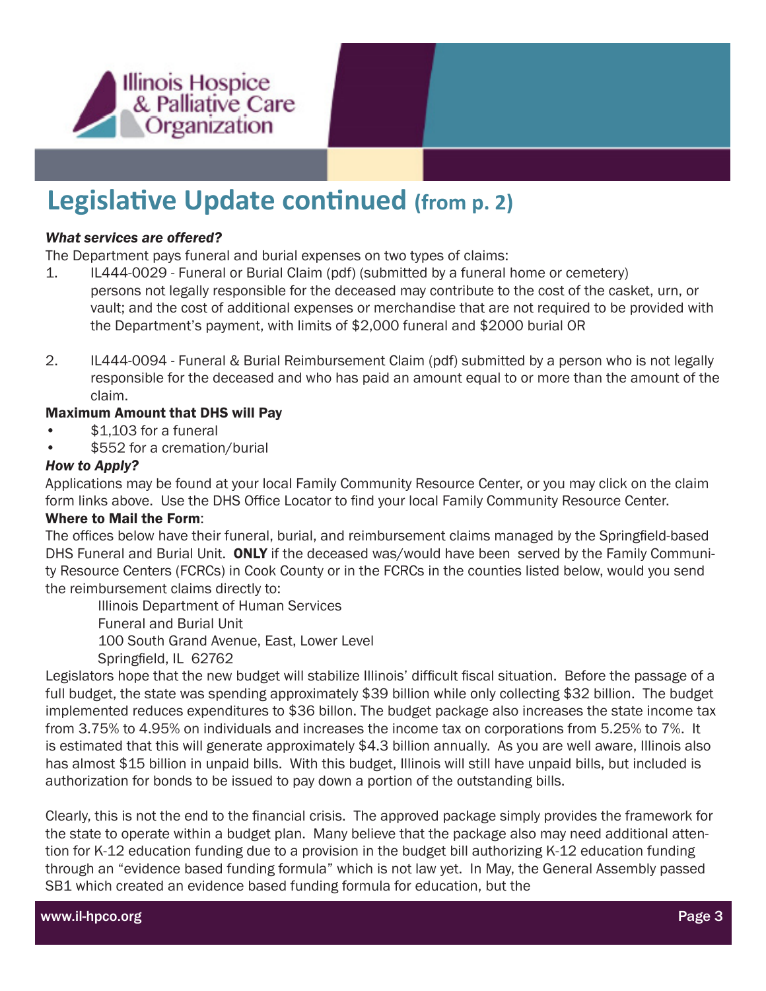

### **Legislative Update continued (from p. 2)**

#### *What services are offered?*

The Department pays funeral and burial expenses on two types of claims:

- 1. IL444-0029 Funeral or Burial Claim (pdf) (submitted by a funeral home or cemetery) persons not legally responsible for the deceased may contribute to the cost of the casket, urn, or vault; and the cost of additional expenses or merchandise that are not required to be provided with the Department's payment, with limits of \$2,000 funeral and \$2000 burial OR
- 2. IL444-0094 Funeral & Burial Reimbursement Claim (pdf) submitted by a person who is not legally responsible for the deceased and who has paid an amount equal to or more than the amount of the claim.

#### Maximum Amount that DHS will Pay

- \$1,103 for a funeral
- \$552 for a cremation/burial

#### *How to Apply?*

Applications may be found at your local Family Community Resource Center, or you may click on the claim form links above. Use the DHS Office Locator to find your local Family Community Resource Center.

#### Where to Mail the Form:

The offices below have their funeral, burial, and reimbursement claims managed by the Springfield-based DHS Funeral and Burial Unit. ONLY if the deceased was/would have been served by the Family Community Resource Centers (FCRCs) in Cook County or in the FCRCs in the counties listed below, would you send the reimbursement claims directly to:

 Illinois Department of Human Services Funeral and Burial Unit 100 South Grand Avenue, East, Lower Level Springfield, IL 62762

Legislators hope that the new budget will stabilize Illinois' difficult fiscal situation. Before the passage of a full budget, the state was spending approximately \$39 billion while only collecting \$32 billion. The budget implemented reduces expenditures to \$36 billon. The budget package also increases the state income tax from 3.75% to 4.95% on individuals and increases the income tax on corporations from 5.25% to 7%. It is estimated that this will generate approximately \$4.3 billion annually. As you are well aware, Illinois also has almost \$15 billion in unpaid bills. With this budget, Illinois will still have unpaid bills, but included is authorization for bonds to be issued to pay down a portion of the outstanding bills.

Clearly, this is not the end to the financial crisis. The approved package simply provides the framework for the state to operate within a budget plan. Many believe that the package also may need additional attention for K-12 education funding due to a provision in the budget bill authorizing K-12 education funding through an "evidence based funding formula" which is not law yet. In May, the General Assembly passed SB1 which created an evidence based funding formula for education, but the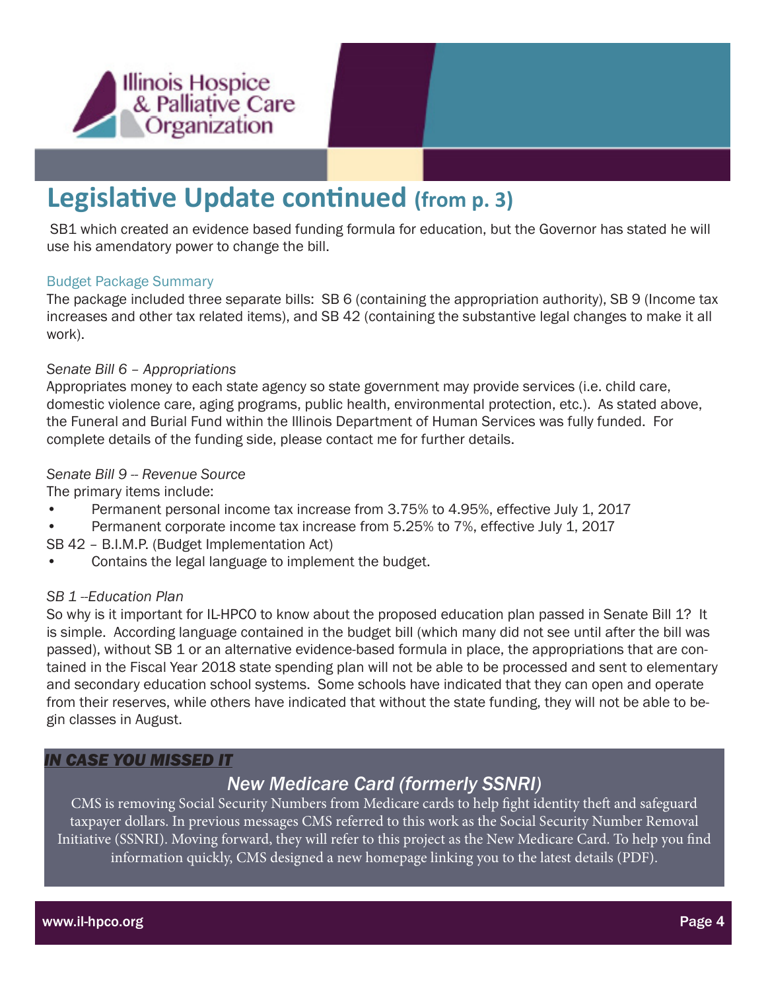

### **Legislative Update continued (from p. 3)**

SB1 which created an evidence based funding formula for education, but the Governor has stated he will use his amendatory power to change the bill.

#### Budget Package Summary

The package included three separate bills: SB 6 (containing the appropriation authority), SB 9 (Income tax increases and other tax related items), and SB 42 (containing the substantive legal changes to make it all work).

#### *Senate Bill 6 – Appropriations*

Appropriates money to each state agency so state government may provide services (i.e. child care, domestic violence care, aging programs, public health, environmental protection, etc.). As stated above, the Funeral and Burial Fund within the Illinois Department of Human Services was fully funded. For complete details of the funding side, please contact me for further details.

#### *Senate Bill 9 -- Revenue Source*

The primary items include:

- Permanent personal income tax increase from 3.75% to 4.95%, effective July 1, 2017
- Permanent corporate income tax increase from 5.25% to 7%, effective July 1, 2017
- SB 42 B.I.M.P. (Budget Implementation Act)
- Contains the legal language to implement the budget.

#### *SB 1 --Education Plan*

So why is it important for IL-HPCO to know about the proposed education plan passed in Senate Bill 1? It is simple. According language contained in the budget bill (which many did not see until after the bill was passed), without SB 1 or an alternative evidence-based formula in place, the appropriations that are contained in the Fiscal Year 2018 state spending plan will not be able to be processed and sent to elementary and secondary education school systems. Some schools have indicated that they can open and operate from their reserves, while others have indicated that without the state funding, they will not be able to begin classes in August.

#### *IN CASE YOU MISSED IT*

#### *New Medicare Card (formerly SSNRI)*

CMS is removing Social Security Numbers from Medicare cards to help fight identity theft and safeguard taxpayer dollars. In previous messages CMS referred to this work as the Social Security Number Removal Initiative (SSNRI). Moving forward, they will refer to this project as the New Medicare Card. To help you find information quickly, CMS designed a new homepage linking you to the latest details (PDF).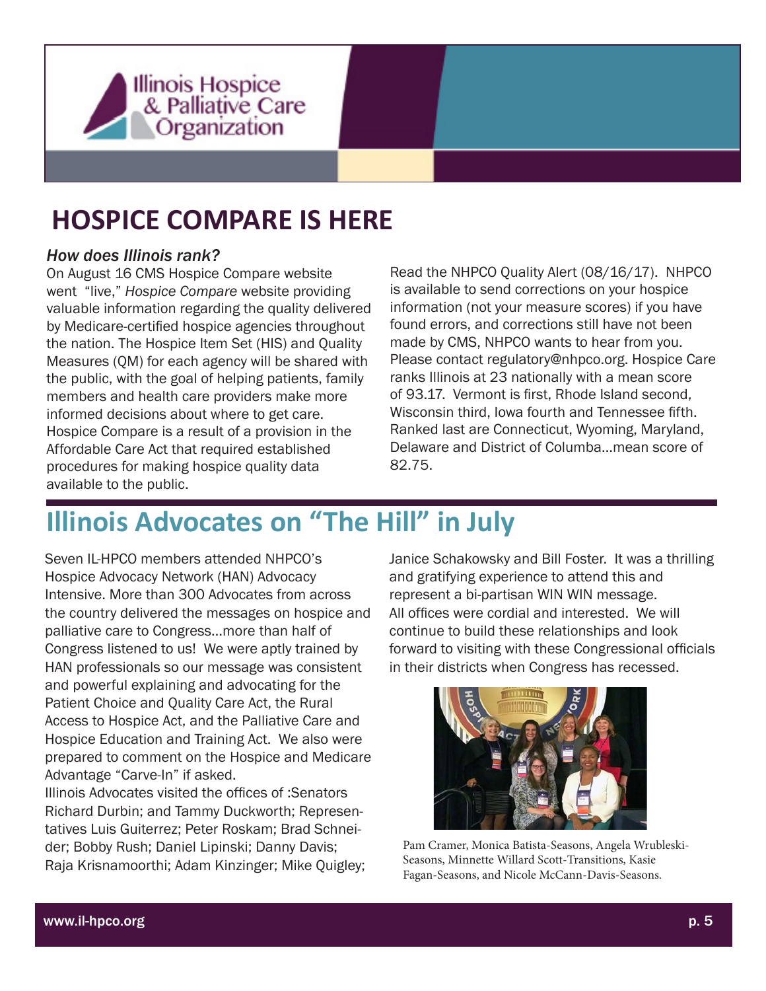

## **HOSPICE COMPARE IS HERE**

#### *How does Illinois rank?*

On August 16 CMS Hospice Compare website went "live," *Hospice Compare* website providing valuable information regarding the quality delivered by Medicare-certified hospice agencies throughout the nation. The Hospice Item Set (HIS) and Quality Measures (QM) for each agency will be shared with the public, with the goal of helping patients, family members and health care providers make more informed decisions about where to get care. Hospice Compare is a result of a provision in the Affordable Care Act that required established procedures for making hospice quality data available to the public.

Read the NHPCO Quality Alert (08/16/17). NHPCO is available to send corrections on your hospice information (not your measure scores) if you have found errors, and corrections still have not been made by CMS, NHPCO wants to hear from you. Please contact regulatory@nhpco.org. Hospice Care ranks Illinois at 23 nationally with a mean score of 93.17. Vermont is first, Rhode Island second, Wisconsin third, Iowa fourth and Tennessee fifth. Ranked last are Connecticut, Wyoming, Maryland, Delaware and District of Columba…mean score of 82.75.

# **Illinois Advocates on "The Hill" in July**

Seven IL-HPCO members attended NHPCO's Hospice Advocacy Network (HAN) Advocacy Intensive. More than 300 Advocates from across the country delivered the messages on hospice and palliative care to Congress…more than half of Congress listened to us! We were aptly trained by HAN professionals so our message was consistent and powerful explaining and advocating for the Patient Choice and Quality Care Act, the Rural Access to Hospice Act, and the Palliative Care and Hospice Education and Training Act. We also were prepared to comment on the Hospice and Medicare Advantage "Carve-In" if asked.

Illinois Advocates visited the offices of :Senators Richard Durbin; and Tammy Duckworth; Representatives Luis Guiterrez; Peter Roskam; Brad Schneider; Bobby Rush; Daniel Lipinski; Danny Davis; Raja Krisnamoorthi; Adam Kinzinger; Mike Quigley;

Janice Schakowsky and Bill Foster. It was a thrilling and gratifying experience to attend this and represent a bi-partisan WIN WIN message. All offices were cordial and interested. We will continue to build these relationships and look forward to visiting with these Congressional officials in their districts when Congress has recessed.



Pam Cramer, Monica Batista-Seasons, Angela Wrubleski-Seasons, Minnette Willard Scott-Transitions, Kasie Fagan-Seasons, and Nicole McCann-Davis-Seasons.